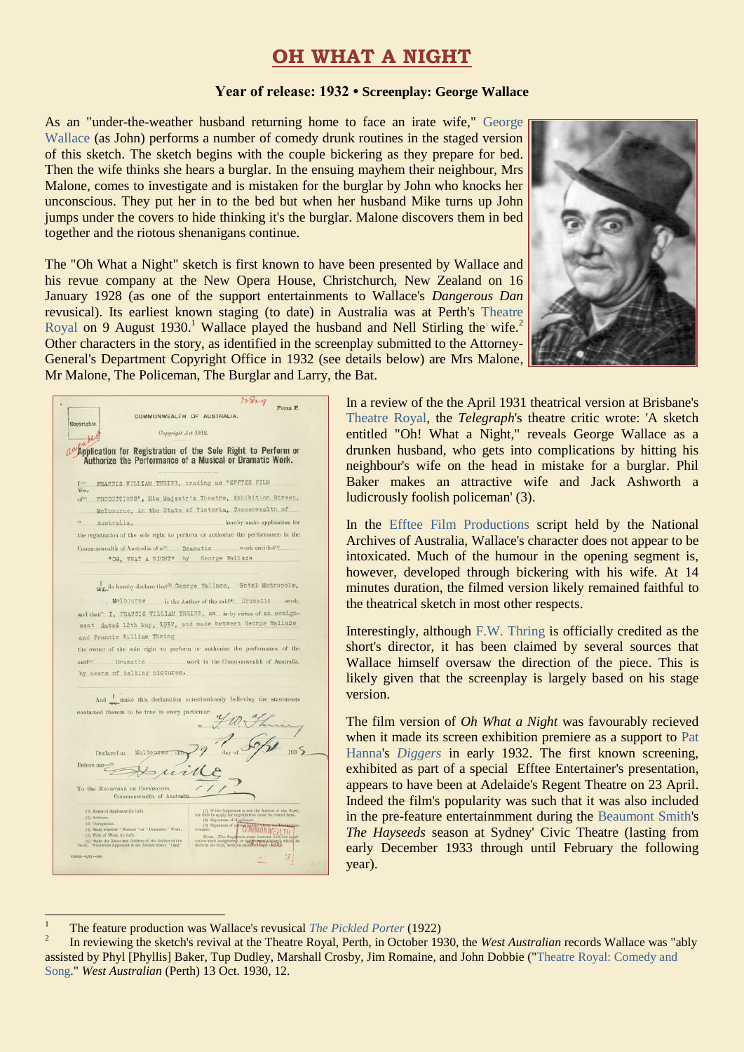## **OH WHAT A NIGHT**

## **Year of release: 1932 • Screenplay: George Wallace**

As an "under-the-weather husband returning home to face an irate wife," [George](https://ozvta.com/practitioners-w/)  [Wallace](https://ozvta.com/practitioners-w/) (as John) performs a number of comedy drunk routines in the staged version of this sketch. The sketch begins with the couple bickering as they prepare for bed. Then the wife thinks she hears a burglar. In the ensuing mayhem their neighbour, Mrs Malone, comes to investigate and is mistaken for the burglar by John who knocks her unconscious. They put her in to the bed but when her husband Mike turns up John jumps under the covers to hide thinking it's the burglar. Malone discovers them in bed together and the riotous shenanigans continue.

The "Oh What a Night" sketch is first known to have been presented by Wallace and his revue company at the New Opera House, Christchurch, New Zealand on 16 January 1928 (as one of the support entertainments to Wallace's *Dangerous Dan* revusical). Its earliest known staging (to date) in Australia was at Perth's [Theatre](http://ozvta.com/theatres-wa/)  [Royal](http://ozvta.com/theatres-wa/) on 9 August 1930.<sup>1</sup> Wallace played the husband and Nell Stirling the wife.<sup>2</sup> Other characters in the story, as identified in the screenplay submitted to the Attorney-General's Department Copyright Office in 1932 (see details below) are Mrs Malone, Mr Malone, The Policeman, The Burglar and Larry, the Bat.



|                                                                                                                          | 23929                                                                                                                                               |
|--------------------------------------------------------------------------------------------------------------------------|-----------------------------------------------------------------------------------------------------------------------------------------------------|
|                                                                                                                          | Form F.                                                                                                                                             |
| COMMONWEALTH OF AUSTRALIA.<br>Copyrights.                                                                                |                                                                                                                                                     |
| Copyright Act 1912.                                                                                                      |                                                                                                                                                     |
| Application for Registration of the Sole Right to Perform or<br>Authorize the Performance of a Musical or Dramatic Work. |                                                                                                                                                     |
| FRANCIS WILLIAM THRING, trading as "EFFTEE FILM<br>T.OY                                                                  |                                                                                                                                                     |
| Wa-                                                                                                                      |                                                                                                                                                     |
| ofto                                                                                                                     | PRODUCTIONS", His Majesty's Theatre, Exhibition Street,                                                                                             |
|                                                                                                                          | Melbourne, in the State of Victoria, Commonwealth of                                                                                                |
| CD<br>Australia,                                                                                                         | hereby make application for                                                                                                                         |
|                                                                                                                          | the registration of the sole right to perform or authorize the performance in the                                                                   |
|                                                                                                                          |                                                                                                                                                     |
| Commonwealth of Australia of a <sup>(a)</sup> Dramatic                                                                   | work entitled <sup>(1)</sup>                                                                                                                        |
| "OH, WHAT A WIGHT" by George Wallace                                                                                     |                                                                                                                                                     |
| ww do hereby declare that t George Wallace, Hotel Metropole,                                                             |                                                                                                                                                     |
|                                                                                                                          |                                                                                                                                                     |
|                                                                                                                          | Welbourne is the Author of the said <sup>10</sup> Dramatic work,                                                                                    |
|                                                                                                                          | and that <sup>(n)</sup> I. FRANCIS WILLIAM THRING, am is by virtue of an assign-                                                                    |
|                                                                                                                          | ment dated 12th May, 1932, and made between George Wallace                                                                                          |
| and Francis William Thring                                                                                               |                                                                                                                                                     |
|                                                                                                                          | the owner of the sole right to perform or authorize the performance of the                                                                          |
| said <sup>(0</sup> Dramatic                                                                                              | work in the Commonwealth of Australia,                                                                                                              |
|                                                                                                                          |                                                                                                                                                     |
| by means of talking pictures.                                                                                            |                                                                                                                                                     |
|                                                                                                                          |                                                                                                                                                     |
|                                                                                                                          |                                                                                                                                                     |
|                                                                                                                          |                                                                                                                                                     |
|                                                                                                                          | And make this declaration conscientiously believing the statements                                                                                  |
| contained therein to be true in every particular.                                                                        |                                                                                                                                                     |
|                                                                                                                          |                                                                                                                                                     |
|                                                                                                                          |                                                                                                                                                     |
|                                                                                                                          |                                                                                                                                                     |
| Declared at<br>Melbourne                                                                                                 |                                                                                                                                                     |
|                                                                                                                          |                                                                                                                                                     |
| Before me                                                                                                                |                                                                                                                                                     |
|                                                                                                                          |                                                                                                                                                     |
| To the REGISTRAR OF COPYRIGHTS,<br>Commonwealth of Australia                                                             |                                                                                                                                                     |
|                                                                                                                          |                                                                                                                                                     |
| (1) Name of Applicant (in full).<br>$(2)$ Address.                                                                       | $(7)$ If the Applicant is not the Author of the Work, his title to apply for registration must be traced here.                                      |
| (3) Occupation                                                                                                           | (8) Signature of Applicant.                                                                                                                         |
| (4) State whether "Musical" or "Dramatic" Work.<br>(5) Title of Work (in full).                                          |                                                                                                                                                     |
| (6) State the Name and Address of the Author of the Work. Where the Applicant is the Author insert " ${\bf I}$ am."      | Now The Assessment Property of the COMMONWEAL TH<br>cation each assignment or instructed through which which is title, with an attention of the one |

1

In a review of the the April 1931 theatrical version at Brisbane's [Theatre Royal,](http://ozvta.com/theatres-qld/) the *Telegraph*'s theatre critic wrote: 'A sketch entitled "Oh! What a Night," reveals George Wallace as a drunken husband, who gets into complications by hitting his neighbour's wife on the head in mistake for a burglar. Phil Baker makes an attractive wife and Jack Ashworth a ludicrously foolish policeman' (3).

In the [Efftee Film Productions](https://ozvta.com/organisations-a-l/) script held by the National Archives of Australia, Wallace's character does not appear to be intoxicated. Much of the humour in the opening segment is, however, developed through bickering with his wife. At 14 minutes duration, the filmed version likely remained faithful to the theatrical sketch in most other respects.

Interestingly, although [F.W. Thring](https://ozvta.com/entrepreneurs-s-z/) is officially credited as the short's director, it has been claimed by several sources that Wallace himself oversaw the direction of the piece. This is likely given that the screenplay is largely based on his stage version.

The film version of *Oh What a Night* was favourably recieved when it made its screen exhibition premiere as a support to [Pat](https://ozvta.com/entrepreneurs-g-l/)  [Hanna's](https://ozvta.com/entrepreneurs-g-l/) *[Diggers](https://ozvta.com/film-vaudeville/)* in early 1932. The first known screening, exhibited as part of a special Efftee Entertainer's presentation, appears to have been at Adelaide's Regent Theatre on 23 April. Indeed the film's popularity was such that it was also included in the pre-feature entertainmment during the [Beaumont Smith'](http://ozvta.com/entrepreneurs-s-z/)s *The Hayseeds* season at Sydney' Civic Theatre (lasting from early December 1933 through until February the following year).

<sup>1</sup> The feature production was Wallace's revusical *[The Pickled Porter](https://ozvta.com/1920s/)* (1922)

 $\overline{2}$ In reviewing the sketch's revival at the Theatre Royal, Perth, in October 1930, the *West Australian* records Wallace was "ably assisted by Phyl [Phyllis] Baker, Tup Dudley, Marshall Crosby, Jim Romaine, and John Dobbie (["Theatre Royal: Comedy and](http://trove.nla.gov.au/newspaper/article/33225163)  [Song."](http://trove.nla.gov.au/newspaper/article/33225163) *West Australian* (Perth) 13 Oct. 1930, 12.